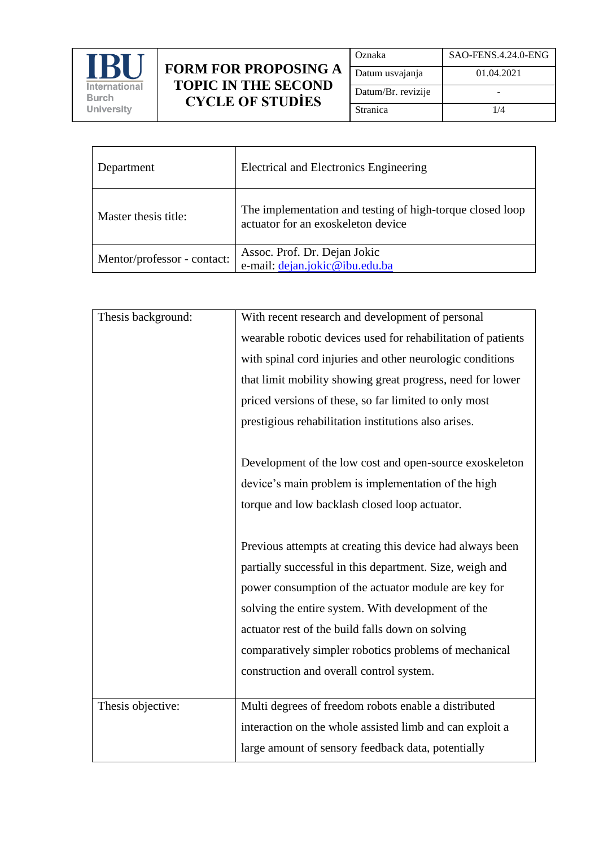

## **FORM FOR PROPOSING A TOPIC IN THE SECOND CYCLE OF STUDİES**

| Oznaka             | SAO-FENS.4.24.0-ENG |
|--------------------|---------------------|
| Datum usvajanja    | 01.04.2021          |
| Datum/Br. revizije |                     |
| Stranica           | 1/4                 |

| Department                  | <b>Electrical and Electronics Engineering</b>                                                   |
|-----------------------------|-------------------------------------------------------------------------------------------------|
| Master thesis title:        | The implementation and testing of high-torque closed loop<br>actuator for an exoskeleton device |
| Mentor/professor - contact: | Assoc. Prof. Dr. Dejan Jokic<br>e-mail: dejan.jokic@ibu.edu.ba                                  |

| Thesis background: | With recent research and development of personal             |
|--------------------|--------------------------------------------------------------|
|                    | wearable robotic devices used for rehabilitation of patients |
|                    | with spinal cord injuries and other neurologic conditions    |
|                    | that limit mobility showing great progress, need for lower   |
|                    | priced versions of these, so far limited to only most        |
|                    | prestigious rehabilitation institutions also arises.         |
|                    |                                                              |
|                    | Development of the low cost and open-source exoskeleton      |
|                    | device's main problem is implementation of the high          |
|                    | torque and low backlash closed loop actuator.                |
|                    |                                                              |
|                    | Previous attempts at creating this device had always been    |
|                    | partially successful in this department. Size, weigh and     |
|                    | power consumption of the actuator module are key for         |
|                    | solving the entire system. With development of the           |
|                    | actuator rest of the build falls down on solving             |
|                    | comparatively simpler robotics problems of mechanical        |
|                    | construction and overall control system.                     |
|                    |                                                              |
| Thesis objective:  | Multi degrees of freedom robots enable a distributed         |
|                    | interaction on the whole assisted limb and can exploit a     |
|                    | large amount of sensory feedback data, potentially           |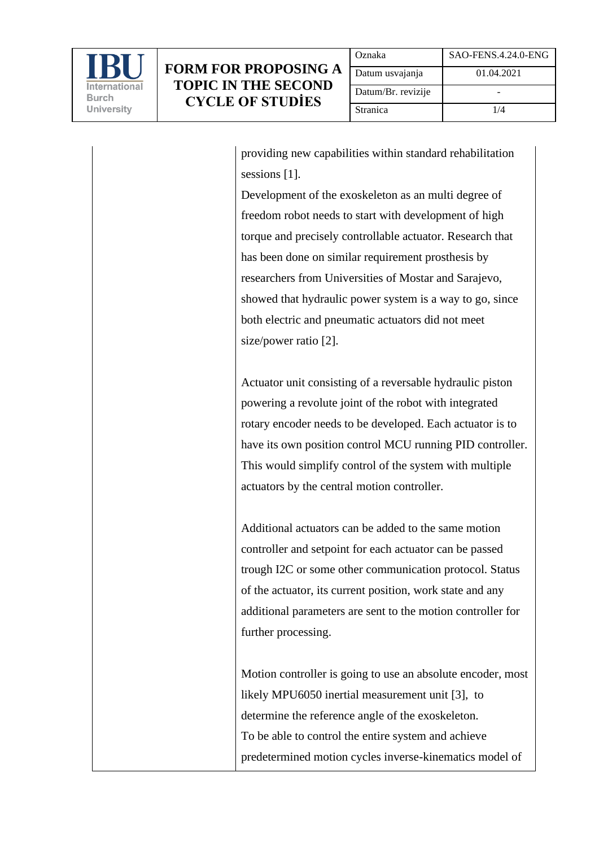

providing new capabilities within standard rehabilitation sessions [1].

Development of the exoskeleton as an multi degree of freedom robot needs to start with development of high torque and precisely controllable actuator. Research that has been done on similar requirement prosthesis by researchers from Universities of Mostar and Sarajevo, showed that hydraulic power system is a way to go, since both electric and pneumatic actuators did not meet size/power ratio [2].

Actuator unit consisting of a reversable hydraulic piston powering a revolute joint of the robot with integrated rotary encoder needs to be developed. Each actuator is to have its own position control MCU running PID controller. This would simplify control of the system with multiple actuators by the central motion controller.

Additional actuators can be added to the same motion controller and setpoint for each actuator can be passed trough I2C or some other communication protocol. Status of the actuator, its current position, work state and any additional parameters are sent to the motion controller for further processing.

Motion controller is going to use an absolute encoder, most likely MPU6050 inertial measurement unit [3], to determine the reference angle of the exoskeleton. To be able to control the entire system and achieve predetermined motion cycles inverse-kinematics model of